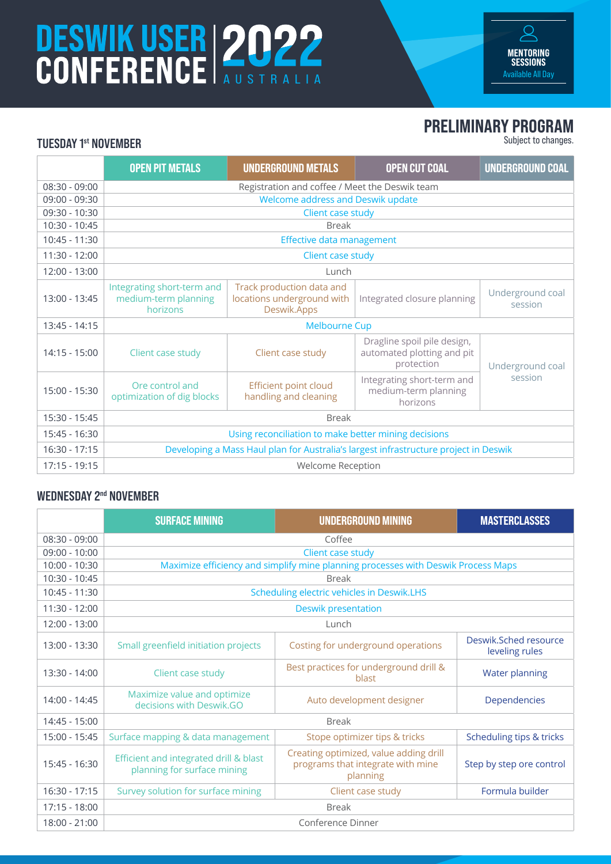# DESWIK USER 2022



### PRELIMINARY PROGRAM

Subject to changes.

#### TUESDAY 1st NOVEMBER

|                 | <b>OPEN PIT METALS</b>                                                               | <b>UNDERGROUND METALS</b>                                              | <b>OPEN CUT COAL</b>                                                    | UNDERGROUND COAL            |  |
|-----------------|--------------------------------------------------------------------------------------|------------------------------------------------------------------------|-------------------------------------------------------------------------|-----------------------------|--|
| $08:30 - 09:00$ | Registration and coffee / Meet the Deswik team                                       |                                                                        |                                                                         |                             |  |
| 09:00 - 09:30   | Welcome address and Deswik update                                                    |                                                                        |                                                                         |                             |  |
| 09:30 - 10:30   | Client case study                                                                    |                                                                        |                                                                         |                             |  |
| 10:30 - 10:45   | <b>Break</b>                                                                         |                                                                        |                                                                         |                             |  |
| 10:45 - 11:30   | Effective data management                                                            |                                                                        |                                                                         |                             |  |
| 11:30 - 12:00   | Client case study                                                                    |                                                                        |                                                                         |                             |  |
| 12:00 - 13:00   | Lunch                                                                                |                                                                        |                                                                         |                             |  |
| 13:00 - 13:45   | Integrating short-term and<br>medium-term planning<br>horizons                       | Track production data and<br>locations underground with<br>Deswik.Apps | Integrated closure planning                                             | Underground coal<br>session |  |
| 13:45 - 14:15   | <b>Melbourne Cup</b>                                                                 |                                                                        |                                                                         |                             |  |
| $14:15 - 15:00$ | Client case study                                                                    | Client case study                                                      | Dragline spoil pile design,<br>automated plotting and pit<br>protection | Underground coal            |  |
| 15:00 - 15:30   | Ore control and<br>optimization of dig blocks                                        | <b>Efficient point cloud</b><br>handling and cleaning                  | Integrating short-term and<br>medium-term planning<br>horizons          | session                     |  |
| 15:30 - 15:45   | <b>Break</b>                                                                         |                                                                        |                                                                         |                             |  |
| 15:45 - 16:30   | Using reconciliation to make better mining decisions                                 |                                                                        |                                                                         |                             |  |
| $16:30 - 17:15$ | Developing a Mass Haul plan for Australia's largest infrastructure project in Deswik |                                                                        |                                                                         |                             |  |
| 17:15 - 19:15   | Welcome Reception                                                                    |                                                                        |                                                                         |                             |  |

#### WEDNESDAY 2<sup>nd</sup> NOVEMBER

|                 | <b>SURFACE MINING</b>                                                             | <b>UNDERGROUND MINING</b>                                                               | <b>MASTERCLASSES</b>                    |  |  |
|-----------------|-----------------------------------------------------------------------------------|-----------------------------------------------------------------------------------------|-----------------------------------------|--|--|
| $08:30 - 09:00$ | Coffee                                                                            |                                                                                         |                                         |  |  |
| $09:00 - 10:00$ | Client case study                                                                 |                                                                                         |                                         |  |  |
| $10:00 - 10:30$ | Maximize efficiency and simplify mine planning processes with Deswik Process Maps |                                                                                         |                                         |  |  |
| $10:30 - 10:45$ | <b>Break</b>                                                                      |                                                                                         |                                         |  |  |
| 10:45 - 11:30   | Scheduling electric vehicles in Deswik.LHS                                        |                                                                                         |                                         |  |  |
| $11:30 - 12:00$ | <b>Deswik presentation</b>                                                        |                                                                                         |                                         |  |  |
| 12:00 - 13:00   | Lunch                                                                             |                                                                                         |                                         |  |  |
| 13:00 - 13:30   | Small greenfield initiation projects                                              | Costing for underground operations                                                      | Deswik.Sched resource<br>leveling rules |  |  |
| $13:30 - 14:00$ | Client case study                                                                 | Best practices for underground drill &<br>blast                                         | <b>Water planning</b>                   |  |  |
| 14:00 - 14:45   | Maximize value and optimize<br>decisions with Deswik.GO                           | Auto development designer                                                               | Dependencies                            |  |  |
| 14:45 - 15:00   | <b>Break</b>                                                                      |                                                                                         |                                         |  |  |
| 15:00 - 15:45   | Surface mapping & data management                                                 | Stope optimizer tips & tricks                                                           | Scheduling tips & tricks                |  |  |
| 15:45 - 16:30   | Efficient and integrated drill & blast<br>planning for surface mining             | Creating optimized, value adding drill<br>programs that integrate with mine<br>planning | Step by step ore control                |  |  |
| 16:30 - 17:15   | Survey solution for surface mining                                                | Client case study                                                                       | Formula builder                         |  |  |
| 17:15 - 18:00   | <b>Break</b>                                                                      |                                                                                         |                                         |  |  |
| 18:00 - 21:00   | Conference Dinner                                                                 |                                                                                         |                                         |  |  |